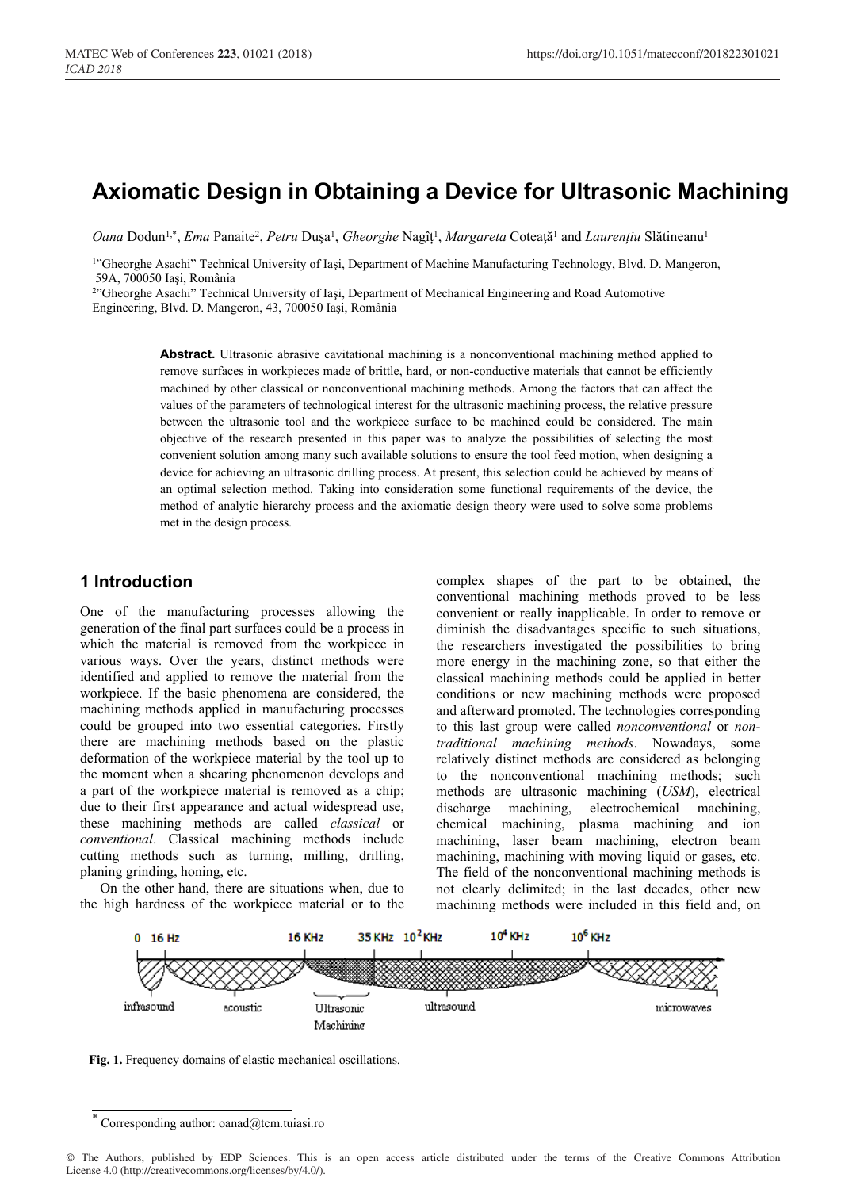# **Axiomatic Design in Obtaining a Device for Ultrasonic Machining**

*Oana* Dodun<sup>1,\*</sup>, *Ema* Panaite<sup>2</sup>, *Petru* Dușa<sup>1</sup>, *Gheorghe* Nagîț<sup>1</sup>, *Margareta* Coteață<sup>1</sup> and *Laurențiu* Slătineanu<sup>1</sup>

1"Gheorghe Asachi" Technical University of Iaşi, Department of Machine Manufacturing Technology, Blvd. D. Mangeron, 59A, 700050 Iaşi, România

2"Gheorghe Asachi" Technical University of Iaşi, Department of Mechanical Engineering and Road Automotive

Engineering, Blvd. D. Mangeron, 43, 700050 Iaşi, România

**Abstract.** Ultrasonic abrasive cavitational machining is a nonconventional machining method applied to remove surfaces in workpieces made of brittle, hard, or non-conductive materials that cannot be efficiently machined by other classical or nonconventional machining methods. Among the factors that can affect the values of the parameters of technological interest for the ultrasonic machining process, the relative pressure between the ultrasonic tool and the workpiece surface to be machined could be considered. The main objective of the research presented in this paper was to analyze the possibilities of selecting the most convenient solution among many such available solutions to ensure the tool feed motion, when designing a device for achieving an ultrasonic drilling process. At present, this selection could be achieved by means of an optimal selection method. Taking into consideration some functional requirements of the device, the method of analytic hierarchy process and the axiomatic design theory were used to solve some problems met in the design process.

#### **1 Introduction**

One of the manufacturing processes allowing the generation of the final part surfaces could be a process in which the material is removed from the workpiece in various ways. Over the years, distinct methods were identified and applied to remove the material from the workpiece. If the basic phenomena are considered, the machining methods applied in manufacturing processes could be grouped into two essential categories. Firstly there are machining methods based on the plastic deformation of the workpiece material by the tool up to the moment when a shearing phenomenon develops and a part of the workpiece material is removed as a chip; due to their first appearance and actual widespread use, these machining methods are called *classical* or *conventional*. Classical machining methods include cutting methods such as turning, milling, drilling, planing grinding, honing, etc.

On the other hand, there are situations when, due to the high hardness of the workpiece material or to the

complex shapes of the part to be obtained, the conventional machining methods proved to be less convenient or really inapplicable. In order to remove or diminish the disadvantages specific to such situations, the researchers investigated the possibilities to bring more energy in the machining zone, so that either the classical machining methods could be applied in better conditions or new machining methods were proposed and afterward promoted. The technologies corresponding to this last group were called *nonconventional* or *nontraditional machining methods*. Nowadays, some relatively distinct methods are considered as belonging to the nonconventional machining methods; such methods are ultrasonic machining (*USM*), electrical discharge machining, electrochemical machining, chemical machining, plasma machining and ion machining, laser beam machining, electron beam machining, machining with moving liquid or gases, etc. The field of the nonconventional machining methods is not clearly delimited; in the last decades, other new machining methods were included in this field and, on



**Fig. 1.** Frequency domains of elastic mechanical oscillations.

Corresponding author: oanad@tcm.tuiasi.ro

<sup>©</sup> The Authors, published by EDP Sciences. This is an open access article distributed under the terms of the Creative Commons Attribution License 4.0 (http://creativecommons.org/licenses/by/4.0/).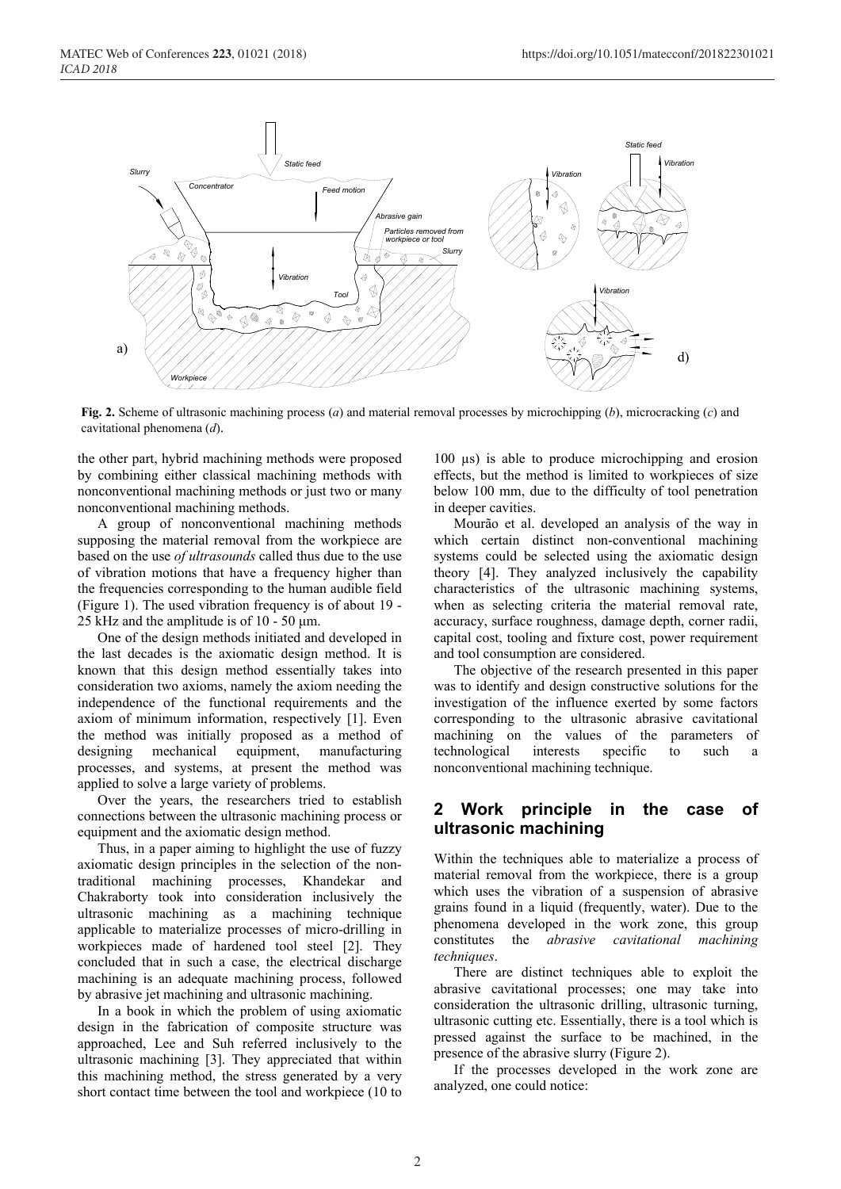

**Fig. 2.** Scheme of ultrasonic machining process (*a*) and material removal processes by microchipping (*b*), microcracking (*c*) and cavitational phenomena (*d*).

the other part, hybrid machining methods were proposed by combining either classical machining methods with nonconventional machining methods or just two or many nonconventional machining methods.

A group of nonconventional machining methods supposing the material removal from the workpiece are based on the use *of ultrasounds* called thus due to the use of vibration motions that have a frequency higher than the frequencies corresponding to the human audible field (Figure 1). The used vibration frequency is of about 19 - 25 kHz and the amplitude is of 10 - 50 μm.

One of the design methods initiated and developed in the last decades is the axiomatic design method. It is known that this design method essentially takes into consideration two axioms, namely the axiom needing the independence of the functional requirements and the axiom of minimum information, respectively [1]. Even the method was initially proposed as a method of designing mechanical equipment, manufacturing processes, and systems, at present the method was applied to solve a large variety of problems.

Over the years, the researchers tried to establish connections between the ultrasonic machining process or equipment and the axiomatic design method.

Thus, in a paper aiming to highlight the use of fuzzy axiomatic design principles in the selection of the nontraditional machining processes, Khandekar and Chakraborty took into consideration inclusively the ultrasonic machining as a machining technique applicable to materialize processes of micro-drilling in workpieces made of hardened tool steel [2]. They concluded that in such a case, the electrical discharge machining is an adequate machining process, followed by abrasive jet machining and ultrasonic machining.

In a book in which the problem of using axiomatic design in the fabrication of composite structure was approached, Lee and Suh referred inclusively to the ultrasonic machining [3]. They appreciated that within this machining method, the stress generated by a very short contact time between the tool and workpiece (10 to 100 µs) is able to produce microchipping and erosion effects, but the method is limited to workpieces of size below 100 mm, due to the difficulty of tool penetration in deeper cavities.

Mourão et al. developed an analysis of the way in which certain distinct non-conventional machining systems could be selected using the axiomatic design theory [4]. They analyzed inclusively the capability characteristics of the ultrasonic machining systems, when as selecting criteria the material removal rate, accuracy, surface roughness, damage depth, corner radii, capital cost, tooling and fixture cost, power requirement and tool consumption are considered.

The objective of the research presented in this paper was to identify and design constructive solutions for the investigation of the influence exerted by some factors corresponding to the ultrasonic abrasive cavitational machining on the values of the parameters of technological interests specific to such a nonconventional machining technique.

#### **2 Work principle in the case of ultrasonic machining**

Within the techniques able to materialize a process of material removal from the workpiece, there is a group which uses the vibration of a suspension of abrasive grains found in a liquid (frequently, water). Due to the phenomena developed in the work zone, this group constitutes the *abrasive cavitational machining techniques*.

There are distinct techniques able to exploit the abrasive cavitational processes; one may take into consideration the ultrasonic drilling, ultrasonic turning, ultrasonic cutting etc. Essentially, there is a tool which is pressed against the surface to be machined, in the presence of the abrasive slurry (Figure 2).

If the processes developed in the work zone are analyzed, one could notice: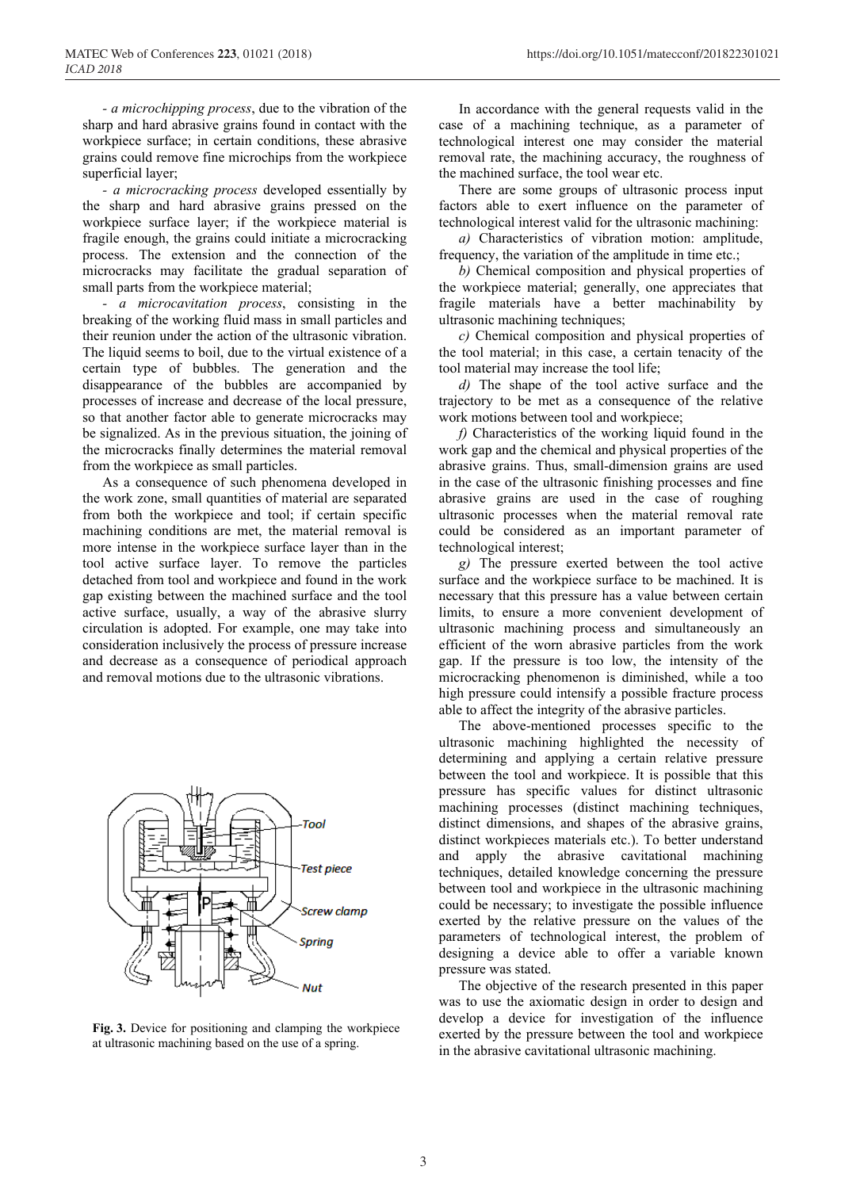*- a microchipping process*, due to the vibration of the sharp and hard abrasive grains found in contact with the workpiece surface; in certain conditions, these abrasive grains could remove fine microchips from the workpiece superficial layer;

*- a microcracking process* developed essentially by the sharp and hard abrasive grains pressed on the workpiece surface layer; if the workpiece material is fragile enough, the grains could initiate a microcracking process. The extension and the connection of the microcracks may facilitate the gradual separation of small parts from the workpiece material;

*- a microcavitation process*, consisting in the breaking of the working fluid mass in small particles and their reunion under the action of the ultrasonic vibration. The liquid seems to boil, due to the virtual existence of a certain type of bubbles. The generation and the disappearance of the bubbles are accompanied by processes of increase and decrease of the local pressure, so that another factor able to generate microcracks may be signalized. As in the previous situation, the joining of the microcracks finally determines the material removal from the workpiece as small particles.

As a consequence of such phenomena developed in the work zone, small quantities of material are separated from both the workpiece and tool; if certain specific machining conditions are met, the material removal is more intense in the workpiece surface layer than in the tool active surface layer. To remove the particles detached from tool and workpiece and found in the work gap existing between the machined surface and the tool active surface, usually, a way of the abrasive slurry circulation is adopted. For example, one may take into consideration inclusively the process of pressure increase and decrease as a consequence of periodical approach and removal motions due to the ultrasonic vibrations.



**Fig. 3.** Device for positioning and clamping the workpiece at ultrasonic machining based on the use of a spring.

In accordance with the general requests valid in the case of a machining technique, as a parameter of technological interest one may consider the material removal rate, the machining accuracy, the roughness of the machined surface, the tool wear etc.

There are some groups of ultrasonic process input factors able to exert influence on the parameter of technological interest valid for the ultrasonic machining:

*a)* Characteristics of vibration motion: amplitude, frequency, the variation of the amplitude in time etc.;

*b)* Chemical composition and physical properties of the workpiece material; generally, one appreciates that fragile materials have a better machinability by ultrasonic machining techniques;

*c)* Chemical composition and physical properties of the tool material; in this case, a certain tenacity of the tool material may increase the tool life;

*d)* The shape of the tool active surface and the trajectory to be met as a consequence of the relative work motions between tool and workpiece;

*f)* Characteristics of the working liquid found in the work gap and the chemical and physical properties of the abrasive grains. Thus, small-dimension grains are used in the case of the ultrasonic finishing processes and fine abrasive grains are used in the case of roughing ultrasonic processes when the material removal rate could be considered as an important parameter of technological interest;

*g)* The pressure exerted between the tool active surface and the workpiece surface to be machined. It is necessary that this pressure has a value between certain limits, to ensure a more convenient development of ultrasonic machining process and simultaneously an efficient of the worn abrasive particles from the work gap. If the pressure is too low, the intensity of the microcracking phenomenon is diminished, while a too high pressure could intensify a possible fracture process able to affect the integrity of the abrasive particles.

The above-mentioned processes specific to the ultrasonic machining highlighted the necessity of determining and applying a certain relative pressure between the tool and workpiece. It is possible that this pressure has specific values for distinct ultrasonic machining processes (distinct machining techniques, distinct dimensions, and shapes of the abrasive grains, distinct workpieces materials etc.). To better understand and apply the abrasive cavitational machining techniques, detailed knowledge concerning the pressure between tool and workpiece in the ultrasonic machining could be necessary; to investigate the possible influence exerted by the relative pressure on the values of the parameters of technological interest, the problem of designing a device able to offer a variable known pressure was stated.

The objective of the research presented in this paper was to use the axiomatic design in order to design and develop a device for investigation of the influence exerted by the pressure between the tool and workpiece in the abrasive cavitational ultrasonic machining.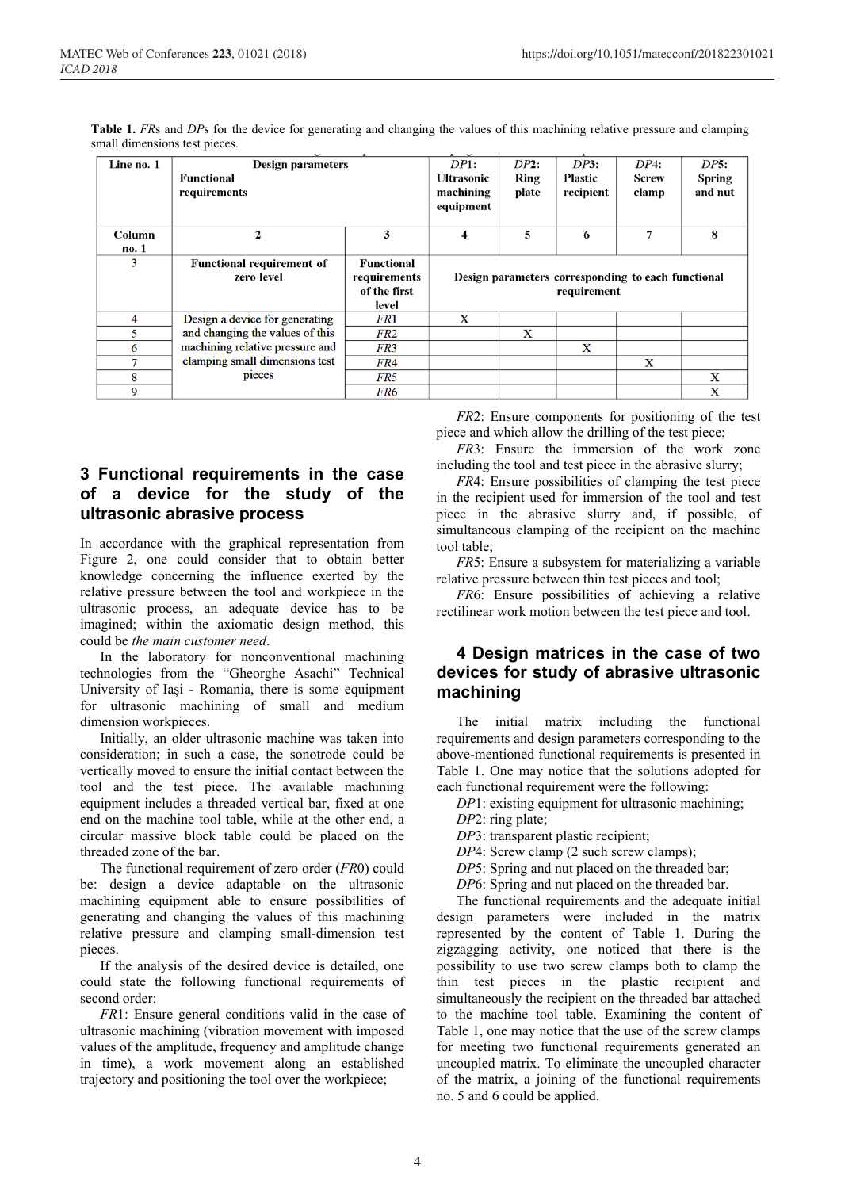| Line no. 1 | <b>Design parameters</b>         | DP1:              | DP2:                                               | DP3:           | DP4:         | DP5:          |             |  |
|------------|----------------------------------|-------------------|----------------------------------------------------|----------------|--------------|---------------|-------------|--|
|            | Functional                       | <b>Ultrasonic</b> | Ring                                               | <b>Plastic</b> | <b>Screw</b> | <b>Spring</b> |             |  |
|            | requirements                     | machining         | plate                                              | recipient      | clamp        | and nut       |             |  |
|            |                                  |                   | equipment                                          |                |              |               |             |  |
| Column     | $\mathbf{2}$                     | 3                 |                                                    | 5              | 6            | 7             | 8           |  |
|            |                                  |                   | $\overline{\mathbf{4}}$                            |                |              |               |             |  |
| no. 1      |                                  |                   |                                                    |                |              |               |             |  |
| 3          | <b>Functional requirement of</b> | Functional        |                                                    |                |              |               |             |  |
|            | zero level                       | requirements      | Design parameters corresponding to each functional |                |              |               |             |  |
|            | of the first                     |                   | requirement                                        |                |              |               |             |  |
|            |                                  | level             |                                                    |                |              |               |             |  |
| 4          | Design a device for generating   | FR1               | $\mathbf x$                                        |                |              |               |             |  |
| 5          | and changing the values of this  | FR2               |                                                    | X              |              |               |             |  |
| 6          | machining relative pressure and  | FR <sub>3</sub>   |                                                    |                | X            |               |             |  |
| 7          | clamping small dimensions test   | FR4               |                                                    |                |              | X             |             |  |
| 8          | pieces                           | FR5               |                                                    |                |              |               | $\mathbf x$ |  |
| 9          |                                  | FR6               |                                                    |                |              |               | X           |  |

**Table 1.** *FRs* and *DPs* for the device for generating and changing the values of this machining relative pressure and clamping small dimensions test pieces.

# **3 Functional requirements in the case of a device for the study of the ultrasonic abrasive process**

In accordance with the graphical representation from Figure 2, one could consider that to obtain better knowledge concerning the influence exerted by the relative pressure between the tool and workpiece in the ultrasonic process, an adequate device has to be imagined; within the axiomatic design method, this could be *the main customer need*.

In the laboratory for nonconventional machining technologies from the "Gheorghe Asachi" Technical University of Iași - Romania, there is some equipment for ultrasonic machining of small and medium dimension workpieces.

Initially, an older ultrasonic machine was taken into consideration; in such a case, the sonotrode could be vertically moved to ensure the initial contact between the tool and the test piece. The available machining equipment includes a threaded vertical bar, fixed at one end on the machine tool table, while at the other end, a circular massive block table could be placed on the threaded zone of the bar.

The functional requirement of zero order (*FR*0) could be: design a device adaptable on the ultrasonic machining equipment able to ensure possibilities of generating and changing the values of this machining relative pressure and clamping small-dimension test pieces.

If the analysis of the desired device is detailed, one could state the following functional requirements of second order:

*FR*1: Ensure general conditions valid in the case of ultrasonic machining (vibration movement with imposed values of the amplitude, frequency and amplitude change in time), a work movement along an established trajectory and positioning the tool over the workpiece;

*FR*2: Ensure components for positioning of the test piece and which allow the drilling of the test piece;

*FR*3: Ensure the immersion of the work zone including the tool and test piece in the abrasive slurry;

*FR4*: Ensure possibilities of clamping the test piece in the recipient used for immersion of the tool and test piece in the abrasive slurry and, if possible, of simultaneous clamping of the recipient on the machine tool table;

*FR*5: Ensure a subsystem for materializing a variable relative pressure between thin test pieces and tool;

*FR*6: Ensure possibilities of achieving a relative rectilinear work motion between the test piece and tool.

## **4 Design matrices in the case of two devices for study of abrasive ultrasonic machining**

The initial matrix including the functional requirements and design parameters corresponding to the above-mentioned functional requirements is presented in Table 1. One may notice that the solutions adopted for each functional requirement were the following:

*DP*1: existing equipment for ultrasonic machining;

*DP*2: ring plate;

*DP*3: transparent plastic recipient;

- *DP*4: Screw clamp (2 such screw clamps);
- *DP*5: Spring and nut placed on the threaded bar;

*DP*6: Spring and nut placed on the threaded bar.

The functional requirements and the adequate initial design parameters were included in the matrix represented by the content of Table 1. During the zigzagging activity, one noticed that there is the possibility to use two screw clamps both to clamp the thin test pieces in the plastic recipient and simultaneously the recipient on the threaded bar attached to the machine tool table. Examining the content of Table 1, one may notice that the use of the screw clamps for meeting two functional requirements generated an uncoupled matrix. To eliminate the uncoupled character of the matrix, a joining of the functional requirements no. 5 and 6 could be applied.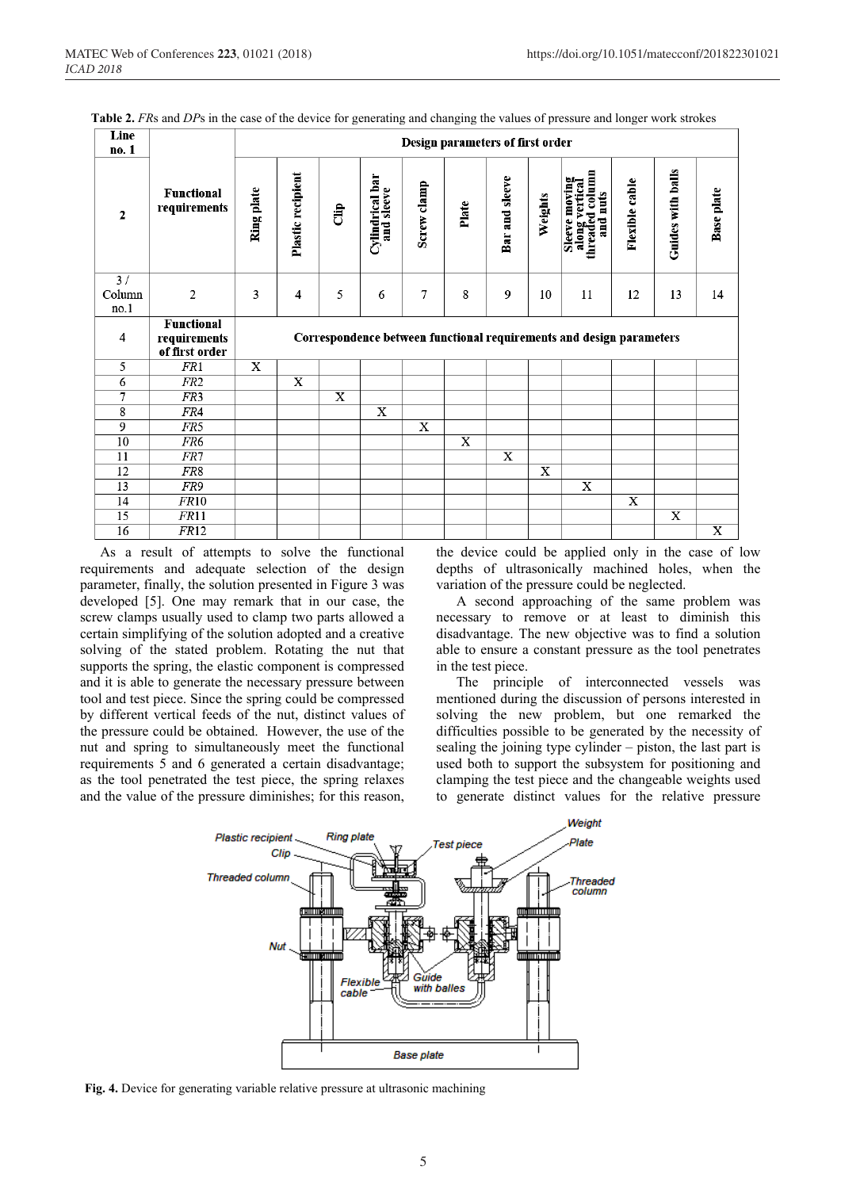| Line<br>no. 1        |                                   | Design parameters of first order |                         |                       |                               |             |                         |                |         |                                                                      |                |                   |                       |
|----------------------|-----------------------------------|----------------------------------|-------------------------|-----------------------|-------------------------------|-------------|-------------------------|----------------|---------|----------------------------------------------------------------------|----------------|-------------------|-----------------------|
| $\boldsymbol{2}$     | <b>Functional</b><br>requirements | Ring plate                       | Plastic recipient       | Ĵ                     | Cylindrical bar<br>and sleeve | Screw clamp | Plate                   | Bar and sleeve | Weights | Sleeve moving<br>along vertical<br>threaded column<br>and nuts       | Flexible cable | Guides with balls | <b>Base</b> plate     |
| 3/<br>Column<br>no.1 | $\overline{c}$                    | 3                                | $\overline{4}$          | 5                     | 6                             | 7           | 8                       | 9              | 10      | 11                                                                   | 12             | 13                | 14                    |
| $\overline{4}$       | <b>Functional</b>                 |                                  |                         |                       |                               |             |                         |                |         |                                                                      |                |                   |                       |
|                      | requirements<br>of first order    |                                  |                         |                       |                               |             |                         |                |         | Correspondence between functional requirements and design parameters |                |                   |                       |
| 5                    | FR1                               | $\mathbf X$                      |                         |                       |                               |             |                         |                |         |                                                                      |                |                   |                       |
| 6                    | FR <sub>2</sub>                   |                                  | $\overline{\textbf{x}}$ |                       |                               |             |                         |                |         |                                                                      |                |                   |                       |
| $\overline{7}$       | FR <sub>3</sub>                   |                                  |                         | $\overline{\text{X}}$ |                               |             |                         |                |         |                                                                      |                |                   |                       |
| 8                    | FR4                               |                                  |                         |                       | X                             |             |                         |                |         |                                                                      |                |                   |                       |
| 9                    | FR5                               |                                  |                         |                       |                               | X           |                         |                |         |                                                                      |                |                   |                       |
| 10                   | FR <sub>6</sub>                   |                                  |                         |                       |                               |             | $\overline{\mathbf{x}}$ |                |         |                                                                      |                |                   |                       |
| 11                   | FR7                               |                                  |                         |                       |                               |             |                         | X              |         |                                                                      |                |                   |                       |
| 12                   | FR8                               |                                  |                         |                       |                               |             |                         |                | X       |                                                                      |                |                   |                       |
| 13                   | FR9                               |                                  |                         |                       |                               |             |                         |                |         | X                                                                    |                |                   |                       |
| 14                   | FR10                              |                                  |                         |                       |                               |             |                         |                |         |                                                                      | X              |                   |                       |
| 15<br>16             | FR11<br>FR12                      |                                  |                         |                       |                               |             |                         |                |         |                                                                      |                | $\mathbf X$       | $\overline{\text{X}}$ |

**Table 2.** *FR*s and *DP*s in the case of the device for generating and changing the values of pressure and longer work strokes

As a result of attempts to solve the functional requirements and adequate selection of the design parameter, finally, the solution presented in Figure 3 was developed [5]. One may remark that in our case, the screw clamps usually used to clamp two parts allowed a certain simplifying of the solution adopted and a creative solving of the stated problem. Rotating the nut that supports the spring, the elastic component is compressed and it is able to generate the necessary pressure between tool and test piece. Since the spring could be compressed by different vertical feeds of the nut, distinct values of the pressure could be obtained. However, the use of the nut and spring to simultaneously meet the functional requirements 5 and 6 generated a certain disadvantage; as the tool penetrated the test piece, the spring relaxes and the value of the pressure diminishes; for this reason,

the device could be applied only in the case of low depths of ultrasonically machined holes, when the variation of the pressure could be neglected.

A second approaching of the same problem was necessary to remove or at least to diminish this disadvantage. The new objective was to find a solution able to ensure a constant pressure as the tool penetrates in the test piece.

The principle of interconnected vessels was mentioned during the discussion of persons interested in solving the new problem, but one remarked the difficulties possible to be generated by the necessity of sealing the joining type cylinder – piston, the last part is used both to support the subsystem for positioning and clamping the test piece and the changeable weights used to generate distinct values for the relative pressure



**Fig. 4.** Device for generating variable relative pressure at ultrasonic machining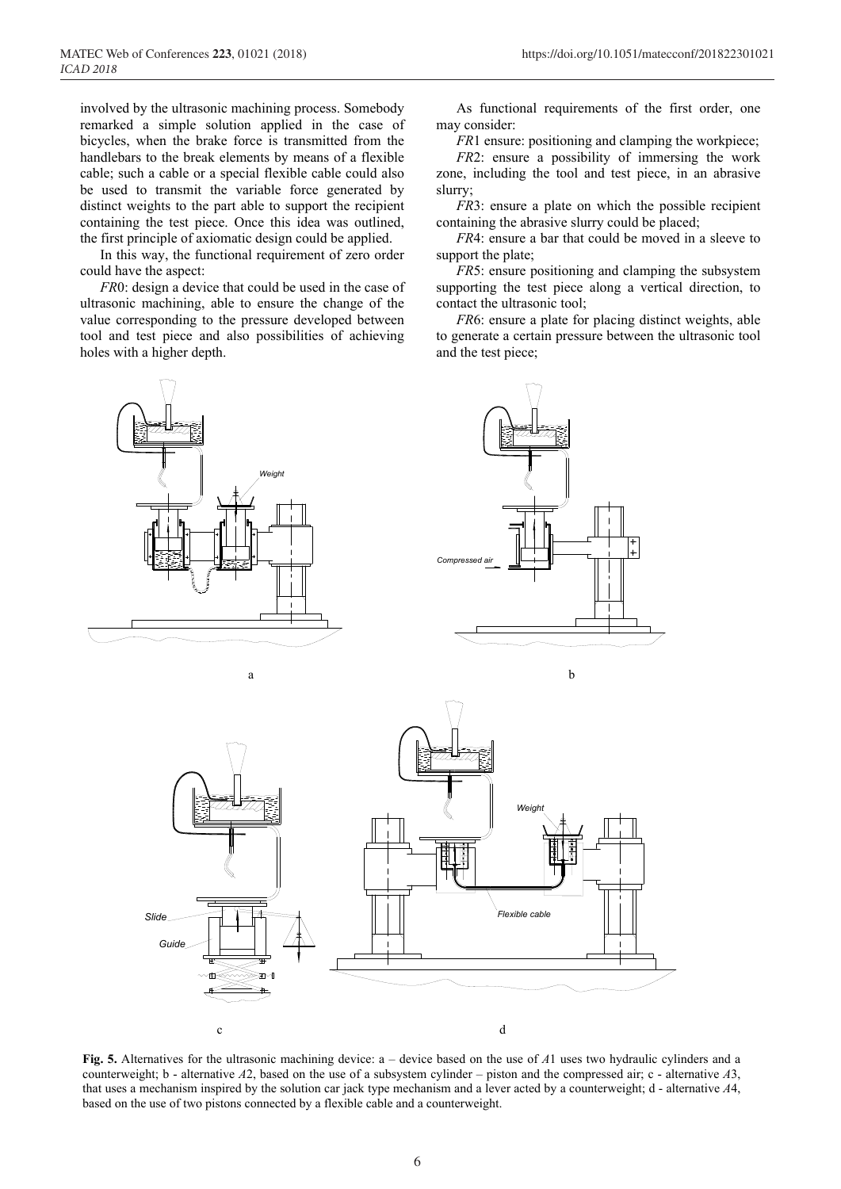involved by the ultrasonic machining process. Somebody remarked a simple solution applied in the case of bicycles, when the brake force is transmitted from the handlebars to the break elements by means of a flexible cable; such a cable or a special flexible cable could also be used to transmit the variable force generated by distinct weights to the part able to support the recipient containing the test piece. Once this idea was outlined, the first principle of axiomatic design could be applied.

In this way, the functional requirement of zero order could have the aspect:

*FR*0: design a device that could be used in the case of ultrasonic machining, able to ensure the change of the value corresponding to the pressure developed between tool and test piece and also possibilities of achieving holes with a higher depth.



*FR*1 ensure: positioning and clamping the workpiece;

*FR*2: ensure a possibility of immersing the work zone, including the tool and test piece, in an abrasive slurry;

*FR3*: ensure a plate on which the possible recipient containing the abrasive slurry could be placed;

*FR*4: ensure a bar that could be moved in a sleeve to support the plate;

*FR*5: ensure positioning and clamping the subsystem supporting the test piece along a vertical direction, to contact the ultrasonic tool;

*FR*6: ensure a plate for placing distinct weights, able to generate a certain pressure between the ultrasonic tool and the test piece;



**Fig. 5.** Alternatives for the ultrasonic machining device: a – device based on the use of *A*1 uses two hydraulic cylinders and a counterweight; b - alternative *A*2, based on the use of a subsystem cylinder – piston and the compressed air; c - alternative *A*3, that uses a mechanism inspired by the solution car jack type mechanism and a lever acted by a counterweight; d - alternative *A*4, based on the use of two pistons connected by a flexible cable and a counterweight.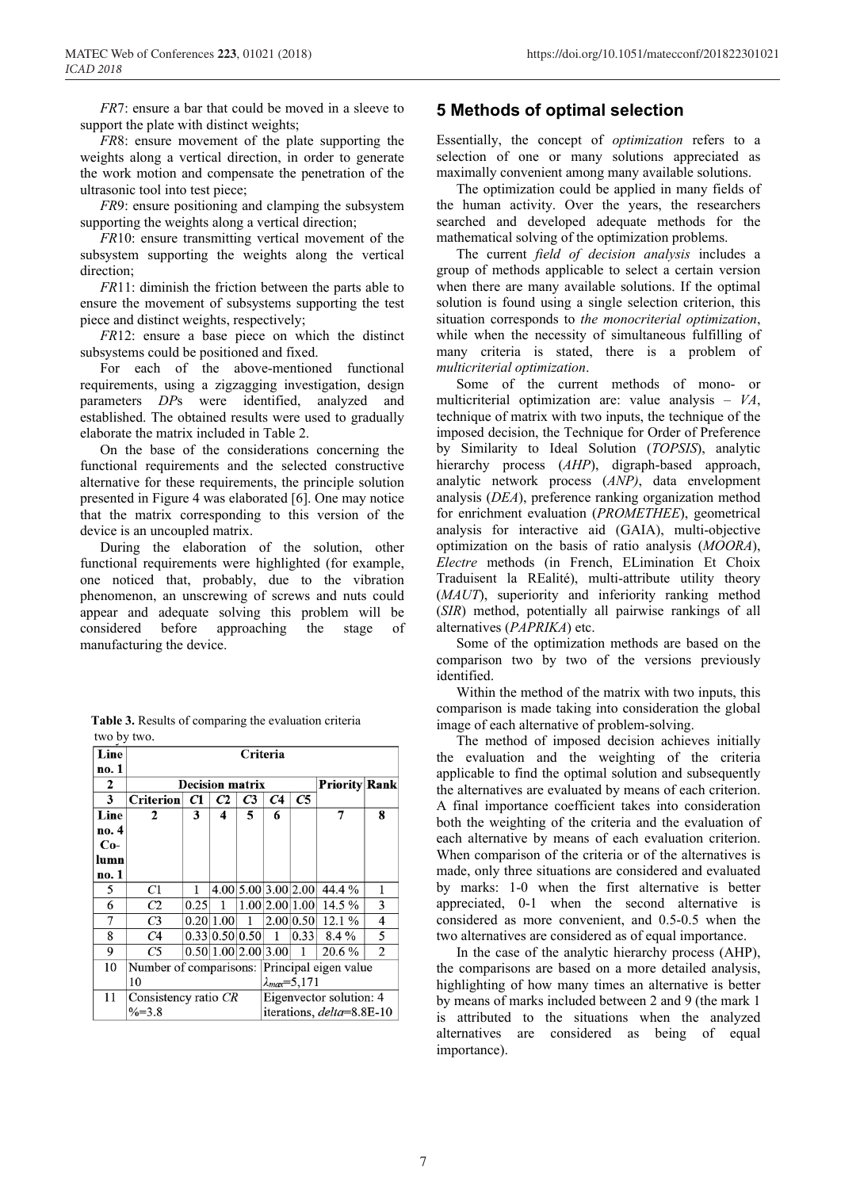*FR7*: ensure a bar that could be moved in a sleeve to support the plate with distinct weights;

*FR*8: ensure movement of the plate supporting the weights along a vertical direction, in order to generate the work motion and compensate the penetration of the ultrasonic tool into test piece;

*FR*9: ensure positioning and clamping the subsystem supporting the weights along a vertical direction;

*FR*10: ensure transmitting vertical movement of the subsystem supporting the weights along the vertical direction;

*FR*11: diminish the friction between the parts able to ensure the movement of subsystems supporting the test piece and distinct weights, respectively;

*FR*12: ensure a base piece on which the distinct subsystems could be positioned and fixed.

For each of the above-mentioned functional requirements, using a zigzagging investigation, design parameters *DP*s were identified, analyzed and established. The obtained results were used to gradually elaborate the matrix included in Table 2.

On the base of the considerations concerning the functional requirements and the selected constructive alternative for these requirements, the principle solution presented in Figure 4 was elaborated [6]. One may notice that the matrix corresponding to this version of the device is an uncoupled matrix.

During the elaboration of the solution, other functional requirements were highlighted (for example, one noticed that, probably, due to the vibration phenomenon, an unscrewing of screws and nuts could appear and adequate solving this problem will be considered before approaching the stage of manufacturing the device.

| thouy tho.<br>Line |                                                 |                      |                | Criteria |                         |           |                                   |   |
|--------------------|-------------------------------------------------|----------------------|----------------|----------|-------------------------|-----------|-----------------------------------|---|
| no. 1              |                                                 |                      |                |          |                         |           |                                   |   |
| 2                  | <b>Decision matrix</b>                          | <b>Priority Rank</b> |                |          |                         |           |                                   |   |
| 3                  | <b>Criterion</b>                                | C1                   | C2             | C3       | C4                      | C5        |                                   |   |
| Line               | 2                                               | 3                    | 4              | 5        | 6                       |           | 7                                 | 8 |
| no. 4              |                                                 |                      |                |          |                         |           |                                   |   |
| $Co-$              |                                                 |                      |                |          |                         |           |                                   |   |
| lumn               |                                                 |                      |                |          |                         |           |                                   |   |
| no. 1              |                                                 |                      |                |          |                         |           |                                   |   |
| 5                  | C1                                              |                      |                |          | 4.00 5.00 3.00 2.00     |           | 44.4 %                            | 1 |
| 6                  | C2                                              | 0.25                 |                |          | 1.00 2.00 1.00          |           | 14.5 %                            | 3 |
| 7                  | C <sub>3</sub>                                  |                      | 0.20 1.00      | 1        |                         | 2.00 0.50 | 12.1%                             | 4 |
| 8                  | C4                                              |                      | 0.33 0.50 0.50 |          |                         | 0.33      | $8.4\%$                           | 5 |
| 9                  | C5                                              |                      |                |          | 0.50 1.00 2.00 3.00     |           | 20.6%                             | 2 |
| 10                 | Number of comparisons:<br>Principal eigen value |                      |                |          |                         |           |                                   |   |
|                    | 10                                              |                      |                |          | $\lambda_{max} = 5,171$ |           |                                   |   |
| 11                 | Consistency ratio CR                            |                      |                |          |                         |           | Eigenvector solution: 4           |   |
|                    | $%=3.8$                                         |                      |                |          |                         |           | iterations, <i>delta</i> =8.8E-10 |   |

**Table 3.** Results of comparing the evaluation criteria two by two.

# **5 Methods of optimal selection**

Essentially, the concept of *optimization* refers to a selection of one or many solutions appreciated as maximally convenient among many available solutions.

The optimization could be applied in many fields of the human activity. Over the years, the researchers searched and developed adequate methods for the mathematical solving of the optimization problems.

The current *field of decision analysis* includes a group of methods applicable to select a certain version when there are many available solutions. If the optimal solution is found using a single selection criterion, this situation corresponds to *the monocriterial optimization*, while when the necessity of simultaneous fulfilling of many criteria is stated, there is a problem of *multicriterial optimization*.

Some of the current methods of mono- or multicriterial optimization are: value analysis – *VA*, technique of matrix with two inputs, the technique of the imposed decision, the Technique for Order of Preference by Similarity to Ideal Solution (*TOPSIS*), analytic hierarchy process (*AHP*), digraph-based approach, analytic network process (*ANP)*, data envelopment analysis (*DEA*), preference ranking organization method for enrichment evaluation (*PROMETHEE*), geometrical analysis for interactive aid (GAIA), multi-objective optimization on the basis of ratio analysis (*MOORA*), *Electre* methods (in French, ELimination Et Choix Traduisent la REalité), multi-attribute utility theory (*MAUT*), superiority and inferiority ranking method (*SIR*) method, potentially all pairwise rankings of all alternatives (*PAPRIKA*) etc.

Some of the optimization methods are based on the comparison two by two of the versions previously identified.

Within the method of the matrix with two inputs, this comparison is made taking into consideration the global image of each alternative of problem-solving.

The method of imposed decision achieves initially the evaluation and the weighting of the criteria applicable to find the optimal solution and subsequently the alternatives are evaluated by means of each criterion. A final importance coefficient takes into consideration both the weighting of the criteria and the evaluation of each alternative by means of each evaluation criterion. When comparison of the criteria or of the alternatives is made, only three situations are considered and evaluated by marks: 1-0 when the first alternative is better appreciated, 0-1 when the second alternative is considered as more convenient, and 0.5-0.5 when the two alternatives are considered as of equal importance.

In the case of the analytic hierarchy process (AHP), the comparisons are based on a more detailed analysis, highlighting of how many times an alternative is better by means of marks included between 2 and 9 (the mark 1 is attributed to the situations when the analyzed alternatives are considered as being of equal importance).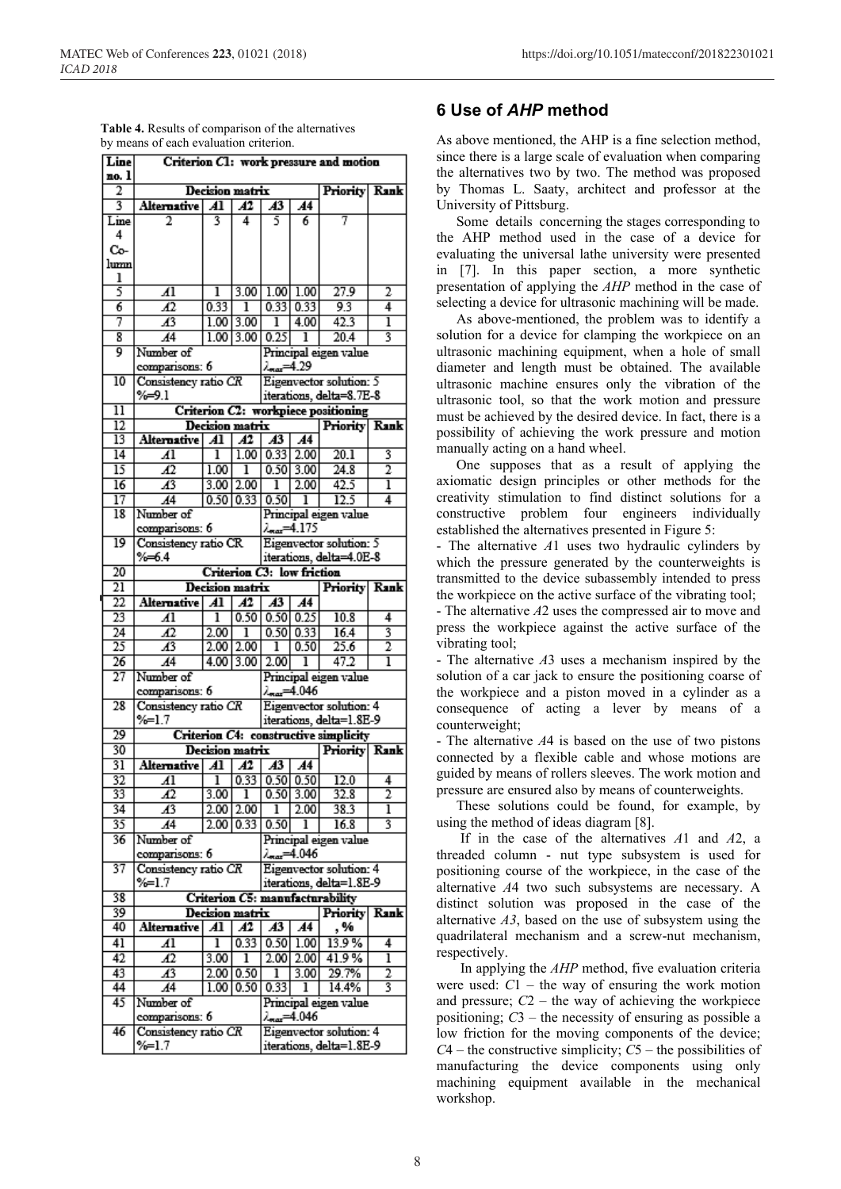| Line                               | Criterion C1: work pressure and motion |                 |                                               |                                                       |                 |                                                     |                |  |  |
|------------------------------------|----------------------------------------|-----------------|-----------------------------------------------|-------------------------------------------------------|-----------------|-----------------------------------------------------|----------------|--|--|
| no. 1<br>2                         | <b>Decision matrix</b><br>Priority     |                 |                                               |                                                       |                 |                                                     |                |  |  |
| 3                                  | <b>Alternative</b>                     | Al              | Āī                                            | $\overline{A3}$                                       | $\overline{A4}$ |                                                     | Rank           |  |  |
|                                    | 2                                      | 3               | 4                                             | 5                                                     | 6               | 7                                                   |                |  |  |
| Line<br>4                          |                                        |                 |                                               |                                                       |                 |                                                     |                |  |  |
|                                    |                                        |                 |                                               |                                                       |                 |                                                     |                |  |  |
| Co-                                |                                        |                 |                                               |                                                       |                 |                                                     |                |  |  |
| lumn                               |                                        |                 |                                               |                                                       |                 |                                                     |                |  |  |
| ı<br>5                             |                                        |                 |                                               |                                                       |                 |                                                     |                |  |  |
|                                    | Al                                     | ı<br>0.33       | 3.00                                          |                                                       | $1.00$ $1.00$   | 27.9<br>9.3                                         | 2<br>4         |  |  |
| 6                                  | $\overline{A2}$                        |                 | ı                                             |                                                       | 0.33   0.33     |                                                     |                |  |  |
| 7                                  | Æ3                                     | 1.00            | 3.00                                          | ı                                                     | 4.00            | 42.3                                                | ī              |  |  |
| 8                                  | $\overline{A4}$                        | 1.00            | 3.00                                          | 0.25                                                  | ı               | 20.4                                                | 3              |  |  |
| 9                                  | Number of                              |                 |                                               |                                                       |                 | Principal eigen value                               |                |  |  |
|                                    | comparisons: 6                         |                 |                                               | 29.29 سم                                              |                 |                                                     |                |  |  |
| 10                                 | Consistency ratio CR                   |                 |                                               |                                                       |                 | Eigenvector solution: 5                             |                |  |  |
|                                    | %⇒9.1                                  |                 |                                               |                                                       |                 | iterations, delta=8.7E-8                            |                |  |  |
| $\overline{11}$                    |                                        |                 |                                               |                                                       |                 | Criterion C2: workpiece positioning                 |                |  |  |
| $\overline{12}$                    |                                        |                 | <b>Decision matrix</b>                        |                                                       |                 | Priority Rank                                       |                |  |  |
| 13                                 | Alternative                            | $\overline{A1}$ | Al                                            | A3                                                    | A4              |                                                     |                |  |  |
| $\overline{14}$                    | $\overline{A1}$                        | ı               | 1.00                                          | 0.33                                                  | 2.00            | 20.1                                                | 3              |  |  |
| 15                                 | Æ                                      | 1.00            | ī                                             |                                                       | 0.50 3.00       | 24.8                                                | 2              |  |  |
| $\overline{16}$                    | $\overline{A^3}$                       | 3.00            | 2.00                                          | ı                                                     | 2.00            | 42.5                                                | ī              |  |  |
| 17                                 | A4                                     |                 | 0.50   0.33                                   | 0.50                                                  | ı               | 12.5                                                | 4              |  |  |
| $\overline{18}$                    | Number of                              |                 |                                               |                                                       |                 | Principal eigen value                               |                |  |  |
|                                    | comparisons: 6                         |                 |                                               |                                                       |                 |                                                     |                |  |  |
| 19                                 | Consistency ratio CR                   |                 | <b>Lenax=4.175</b><br>Eigenvector solution: 5 |                                                       |                 |                                                     |                |  |  |
|                                    | %64                                    |                 |                                               | iterations, delta=4.0E-8                              |                 |                                                     |                |  |  |
| 20                                 |                                        |                 |                                               | Criterion C3: low friction                            |                 |                                                     |                |  |  |
| $\overline{21}$                    |                                        |                 | Decision matrix                               |                                                       |                 | Priority Rank                                       |                |  |  |
| 22                                 | <b>Alternative</b>                     | $\overline{A1}$ | Al                                            | $\overline{A3}$                                       | $\overline{A4}$ |                                                     |                |  |  |
|                                    |                                        |                 |                                               |                                                       | 0.25            |                                                     |                |  |  |
| 23                                 | Al                                     | ı               | 0.50                                          | 0.50                                                  |                 | 10.8                                                | 4              |  |  |
| $\overline{24}$<br>$\overline{25}$ | $\overline{A2}$                        | 2.00            | ī                                             | 0.50                                                  | 0.33            | 16.4                                                | 3              |  |  |
|                                    | А3                                     | 2.00            | 2.00                                          | ı                                                     | 0.50            | 25.6                                                | $\overline{2}$ |  |  |
| $\overline{26}$                    | А4                                     | 4.00            | 3.00                                          | 2.00                                                  | ı               | 47.2                                                | ī              |  |  |
| $\overline{27}$                    | Number of                              |                 |                                               |                                                       |                 | Principal eigen value                               |                |  |  |
|                                    | comparisons: 6                         |                 |                                               |                                                       | 4.046شم         |                                                     |                |  |  |
| $\overline{28}$                    | Consistency ratio CR                   |                 |                                               |                                                       |                 | Eigenvector solution: 4                             |                |  |  |
|                                    | $\frac{9}{6}$ -1.7                     |                 |                                               |                                                       |                 | iterations, delta=1.8E-9                            |                |  |  |
| $\overline{29}$                    |                                        |                 |                                               |                                                       |                 | Criterion C4: constructive simplicity               |                |  |  |
| 30                                 |                                        |                 | Decision matrix                               |                                                       |                 | <b>Priority Rank</b>                                |                |  |  |
| 31                                 | Alternative                            | Al              | A2                                            | $A3$ $A4$                                             |                 |                                                     |                |  |  |
| 32                                 | 41                                     | ī               |                                               | $\overline{0.33}$ $\overline{0.50}$ $\overline{0.50}$ |                 | 12.0                                                | 4              |  |  |
| 33                                 | 42                                     | 3.00            | ı                                             | 0.50                                                  | 3.00            | 32.8                                                | 2              |  |  |
| 34                                 | $\overline{A3}$                        | 2.00            | 2.00                                          | ı                                                     | 2.00            | 38.3                                                | ī              |  |  |
| 35                                 | $\overline{A4}$                        |                 | $2.00$ 0.33                                   | 0.50                                                  | ı               | 16.8                                                | 3              |  |  |
| 36                                 | Number of                              |                 |                                               |                                                       |                 | Principal eigen value                               |                |  |  |
|                                    | comparisons: 6                         |                 |                                               |                                                       | 1.046هه/        |                                                     |                |  |  |
| 37                                 | Consistency ratio CR                   |                 |                                               |                                                       |                 | Eigenvector solution: 4                             |                |  |  |
|                                    | %=1.7                                  |                 |                                               | iterations, delta=1.8E-9                              |                 |                                                     |                |  |  |
| 38                                 |                                        |                 | Criterion C5: manufacturability               |                                                       |                 |                                                     |                |  |  |
| 39                                 |                                        |                 | Decision matrix                               |                                                       |                 | Priority                                            | <b>Rank</b>    |  |  |
| 40                                 | <b>Alternative</b>                     | $\overline{A1}$ | A2                                            | $\overline{A3}$                                       | A <sub>4</sub>  | , %                                                 |                |  |  |
| 41                                 | Al                                     | ı               | 0.33                                          |                                                       | 0.50 1.00       | 13.9%                                               | 4              |  |  |
|                                    |                                        |                 |                                               |                                                       |                 |                                                     |                |  |  |
| 42                                 | Æ                                      | 3.00            | ī                                             | 2.00                                                  | 2.00            | 41.9%                                               | ī              |  |  |
| 43                                 | $\overline{A^3}$                       | 2.00            | 0.50                                          | ı                                                     | 3.00            | 29.7%                                               | 2              |  |  |
| 44                                 | A4                                     | 1.00            | 0.50                                          | 0.33                                                  | ı               | 14.4%                                               | 3              |  |  |
| 45                                 | Number of                              |                 |                                               |                                                       |                 | Principal eigen value                               |                |  |  |
|                                    | comparisons: 6                         |                 |                                               |                                                       | 4.046 اڪس       |                                                     |                |  |  |
|                                    |                                        |                 |                                               |                                                       |                 |                                                     |                |  |  |
| 46                                 | Consistency ratio CR<br>%=1.7          |                 |                                               |                                                       |                 | Eigenvector solution: 4<br>iterations, delta=1.8E-9 |                |  |  |

| <b>Table 4.</b> Results of comparison of the alternatives |
|-----------------------------------------------------------|
| by means of each evaluation criterion.                    |

# **6 Use of** *AHP* **method**

As above mentioned, the AHP is a fine selection method, since there is a large scale of evaluation when comparing the alternatives two by two. The method was proposed by Thomas L. Saaty, architect and professor at the University of Pittsburg.

Some details concerning the stages corresponding to the AHP method used in the case of a device for evaluating the universal lathe university were presented in [7]. In this paper section, a more synthetic presentation of applying the *AHP* method in the case of selecting a device for ultrasonic machining will be made.

As above-mentioned, the problem was to identify a solution for a device for clamping the workpiece on an ultrasonic machining equipment, when a hole of small diameter and length must be obtained. The available ultrasonic machine ensures only the vibration of the ultrasonic tool, so that the work motion and pressure must be achieved by the desired device. In fact, there is a possibility of achieving the work pressure and motion manually acting on a hand wheel.

One supposes that as a result of applying the axiomatic design principles or other methods for the creativity stimulation to find distinct solutions for a constructive problem four engineers individually established the alternatives presented in Figure 5:

- The alternative *A*1 uses two hydraulic cylinders by which the pressure generated by the counterweights is transmitted to the device subassembly intended to press the workpiece on the active surface of the vibrating tool;

- The alternative *A*2 uses the compressed air to move and press the workpiece against the active surface of the vibrating tool;

- The alternative *A*3 uses a mechanism inspired by the solution of a car jack to ensure the positioning coarse of the workpiece and a piston moved in a cylinder as a consequence of acting a lever by means of a counterweight;

- The alternative *A*4 is based on the use of two pistons connected by a flexible cable and whose motions are guided by means of rollers sleeves. The work motion and pressure are ensured also by means of counterweights.

These solutions could be found, for example, by using the method of ideas diagram [8].

If in the case of the alternatives *A*1 and *A*2, a threaded column - nut type subsystem is used for positioning course of the workpiece, in the case of the alternative *A*4 two such subsystems are necessary. A distinct solution was proposed in the case of the alternative *A3*, based on the use of subsystem using the quadrilateral mechanism and a screw-nut mechanism, respectively.

In applying the *AHP* method, five evaluation criteria were used:  $C1$  – the way of ensuring the work motion and pressure;  $C2$  – the way of achieving the workpiece positioning; *C*3 – the necessity of ensuring as possible a low friction for the moving components of the device; *C*4 – the constructive simplicity; *C*5 – the possibilities of manufacturing the device components using only machining equipment available in the mechanical workshop.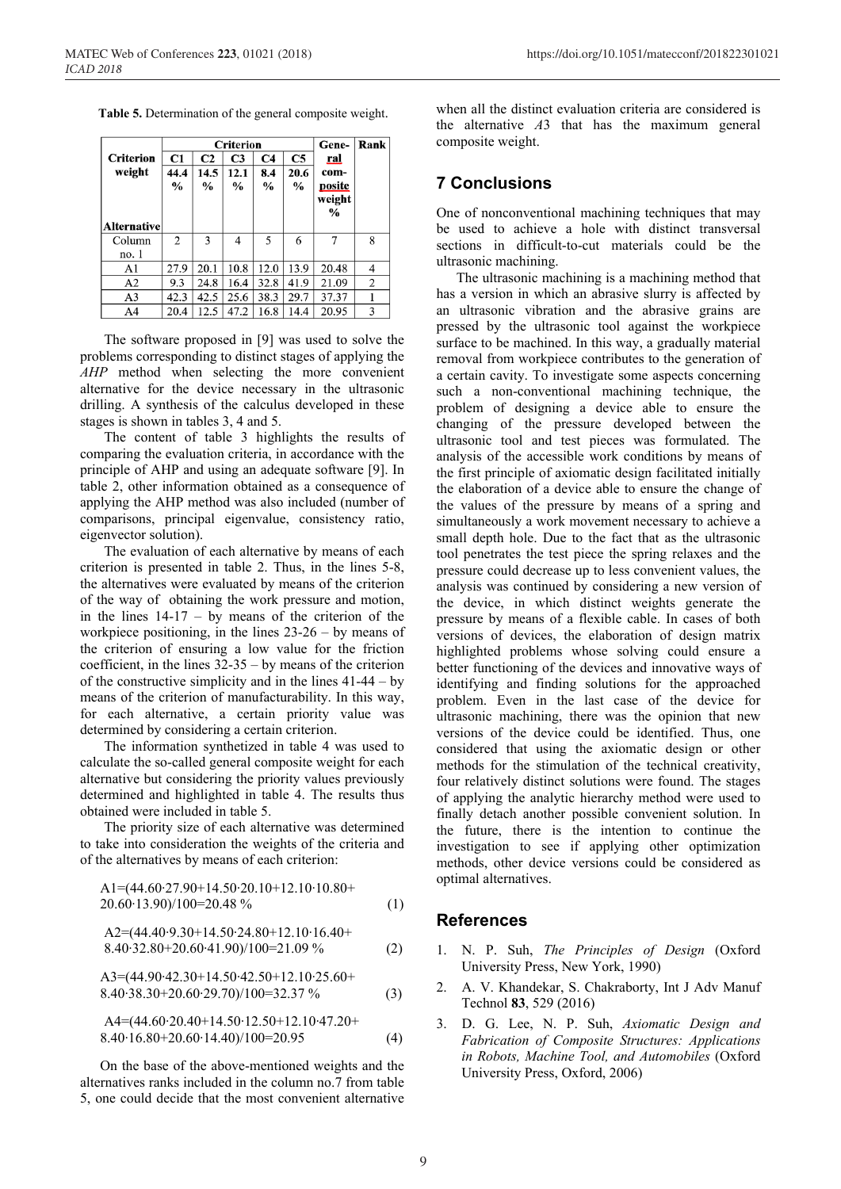**Table 5.** Determination of the general composite weight.

|                  |                |                | <b>Criterion</b> | Gene-          | Rank          |        |   |
|------------------|----------------|----------------|------------------|----------------|---------------|--------|---|
| <b>Criterion</b> | C1             | C <sub>2</sub> | C <sub>3</sub>   | C <sub>4</sub> | C5            | ral    |   |
| weight           | 44.4           | 14.5           | 12.1             | 8.4            | 20.6          | com-   |   |
|                  | $\%$           | $\frac{0}{0}$  | $\frac{0}{0}$    | $\%$           | $\frac{0}{0}$ | posite |   |
|                  |                |                |                  |                |               | weight |   |
|                  |                |                |                  |                |               | $\%$   |   |
| Alternative      |                |                |                  |                |               |        |   |
| Column           | $\overline{c}$ | 3              | 4                | 5              | 6             | 7      | 8 |
| no. 1            |                |                |                  |                |               |        |   |
| A1               | 27.9           | 20.1           | 10.8             | 12.0           | 13.9          | 20.48  | 4 |
| A2               | 9.3            | 24.8           | 16.4             | 32.8           | 41.9          | 21.09  | 2 |
| A3               | 42.3           | 42.5           | 25.6             | 38.3           | 29.7          | 37.37  |   |
| A4               | 20.4           | 12.5           | 47.2             | 16.8           | 14.4          | 20.95  | 3 |

The software proposed in [9] was used to solve the problems corresponding to distinct stages of applying the *AHP* method when selecting the more convenient alternative for the device necessary in the ultrasonic drilling. A synthesis of the calculus developed in these stages is shown in tables 3, 4 and 5.

The content of table 3 highlights the results of comparing the evaluation criteria, in accordance with the principle of AHP and using an adequate software [9]. In table 2, other information obtained as a consequence of applying the AHP method was also included (number of comparisons, principal eigenvalue, consistency ratio, eigenvector solution).

The evaluation of each alternative by means of each criterion is presented in table 2. Thus, in the lines 5-8, the alternatives were evaluated by means of the criterion of the way of obtaining the work pressure and motion, in the lines  $14-17 - by$  means of the criterion of the workpiece positioning, in the lines 23-26 – by means of the criterion of ensuring a low value for the friction coefficient, in the lines 32-35 – by means of the criterion of the constructive simplicity and in the lines 41-44 – by means of the criterion of manufacturability. In this way, for each alternative, a certain priority value was determined by considering a certain criterion.

The information synthetized in table 4 was used to calculate the so-called general composite weight for each alternative but considering the priority values previously determined and highlighted in table 4. The results thus obtained were included in table 5.

The priority size of each alternative was determined to take into consideration the weights of the criteria and of the alternatives by means of each criterion:

$$
A1=(44.60.27.90+14.50.20.10+12.10.10.80+20.60.13.90)/100=20.48\% \t(1)
$$

$$
A2=(44.40.9.30+14.50.24.80+12.10.16.40+8.40.32.80+20.60.41.90)/100=21.09\%
$$
 (2)

$$
A3=(44.90.42.30+14.50.42.50+12.10.25.60+8.40.38.30+20.60.29.70)/100=32.37\%
$$
 (3)

$$
A4=(44.60 \cdot 20.40+14.50 \cdot 12.50+12.10 \cdot 47.20+8.40 \cdot 16.80+20.60 \cdot 14.40)/100=20.95
$$
 (4)

On the base of the above-mentioned weights and the alternatives ranks included in the column no.7 from table 5, one could decide that the most convenient alternative

when all the distinct evaluation criteria are considered is the alternative *A*3 that has the maximum general composite weight.

## **7 Conclusions**

One of nonconventional machining techniques that may be used to achieve a hole with distinct transversal sections in difficult-to-cut materials could be the ultrasonic machining.

The ultrasonic machining is a machining method that has a version in which an abrasive slurry is affected by an ultrasonic vibration and the abrasive grains are pressed by the ultrasonic tool against the workpiece surface to be machined. In this way, a gradually material removal from workpiece contributes to the generation of a certain cavity. To investigate some aspects concerning such a non-conventional machining technique, the problem of designing a device able to ensure the changing of the pressure developed between the ultrasonic tool and test pieces was formulated. The analysis of the accessible work conditions by means of the first principle of axiomatic design facilitated initially the elaboration of a device able to ensure the change of the values of the pressure by means of a spring and simultaneously a work movement necessary to achieve a small depth hole. Due to the fact that as the ultrasonic tool penetrates the test piece the spring relaxes and the pressure could decrease up to less convenient values, the analysis was continued by considering a new version of the device, in which distinct weights generate the pressure by means of a flexible cable. In cases of both versions of devices, the elaboration of design matrix highlighted problems whose solving could ensure a better functioning of the devices and innovative ways of identifying and finding solutions for the approached problem. Even in the last case of the device for ultrasonic machining, there was the opinion that new versions of the device could be identified. Thus, one considered that using the axiomatic design or other methods for the stimulation of the technical creativity, four relatively distinct solutions were found. The stages of applying the analytic hierarchy method were used to finally detach another possible convenient solution. In the future, there is the intention to continue the investigation to see if applying other optimization methods, other device versions could be considered as optimal alternatives.

#### **References**

- 1. N. P. Suh, *The Principles of Design* (Oxford University Press, New York, 1990)
- 2. A. V. Khandekar, S. Chakraborty, Int J Adv Manuf Technol **83**, 529 (2016)
- 3. D. G. Lee, N. P. Suh, *Axiomatic Design and Fabrication of Composite Structures: Applications in Robots, Machine Tool, and Automobiles* (Oxford University Press, Oxford, 2006)